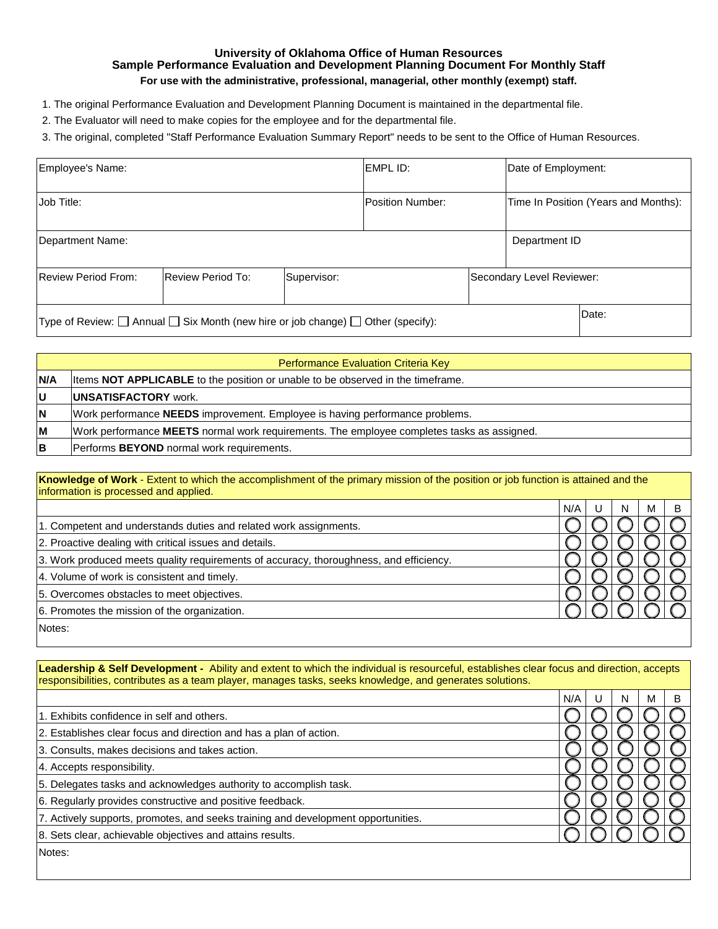## **University of Oklahoma Office of Human Resources Sample Performance Evaluation and Development Planning Document For Monthly Staff For use with the administrative, professional, managerial, other monthly (exempt) staff.**

- 1. The original Performance Evaluation and Development Planning Document is maintained in the departmental file.
- 2. The Evaluator will need to make copies for the employee and for the departmental file.

3. The original, completed "Staff Performance Evaluation Summary Report" needs to be sent to the Office of Human Resources.

| Employee's Name:                                                                                |  |  | EMPL ID:                |       | Date of Employment:                  |  |
|-------------------------------------------------------------------------------------------------|--|--|-------------------------|-------|--------------------------------------|--|
| Job Title:                                                                                      |  |  | <b>Position Number:</b> |       | Time In Position (Years and Months): |  |
| Department Name:                                                                                |  |  |                         |       | Department ID                        |  |
| Review Period From:<br><b>Review Period To:</b><br>Secondary Level Reviewer:<br>Supervisor:     |  |  |                         |       |                                      |  |
| Type of Review: $\Box$ Annual $\Box$ Six Month (new hire or job change) $\Box$ Other (specify): |  |  |                         | Date: |                                      |  |

| <b>Performance Evaluation Criteria Key</b> |                                                                                            |  |  |  |
|--------------------------------------------|--------------------------------------------------------------------------------------------|--|--|--|
| <b>N/A</b>                                 | Items <b>NOT APPLICABLE</b> to the position or unable to be observed in the timeframe.     |  |  |  |
| lU                                         | <b>IUNSATISFACTORY</b> work.                                                               |  |  |  |
| ΙN                                         | Work performance <b>NEEDS</b> improvement. Employee is having performance problems.        |  |  |  |
| lМ                                         | Work performance MEETS normal work requirements. The employee completes tasks as assigned. |  |  |  |
| IΒ                                         | Performs BEYOND normal work requirements.                                                  |  |  |  |

|                                       | Knowledge of Work - Extent to which the accomplishment of the primary mission of the position or job function is attained and the |
|---------------------------------------|-----------------------------------------------------------------------------------------------------------------------------------|
| information is processed and applied. |                                                                                                                                   |

|                                                                                        | N/A |  | М |  |
|----------------------------------------------------------------------------------------|-----|--|---|--|
| 1. Competent and understands duties and related work assignments.                      |     |  |   |  |
| 2. Proactive dealing with critical issues and details.                                 |     |  |   |  |
| 3. Work produced meets quality requirements of accuracy, thoroughness, and efficiency. |     |  |   |  |
| 4. Volume of work is consistent and timely.                                            |     |  |   |  |
| 5. Overcomes obstacles to meet objectives.                                             |     |  |   |  |
| 6. Promotes the mission of the organization.                                           |     |  |   |  |
| Notes:                                                                                 |     |  |   |  |

**Leadership & Self Development -** Ability and extent to which the individual is resourceful, establishes clear focus and direction, accepts responsibilities, contributes as a team player, manages tasks, seeks knowledge, and generates solutions.

|                                                                                   | N/A |  | M |  |
|-----------------------------------------------------------------------------------|-----|--|---|--|
| 1. Exhibits confidence in self and others.                                        |     |  |   |  |
| 2. Establishes clear focus and direction and has a plan of action.                |     |  |   |  |
| 3. Consults, makes decisions and takes action.                                    |     |  |   |  |
| 4. Accepts responsibility.                                                        |     |  |   |  |
| 5. Delegates tasks and acknowledges authority to accomplish task.                 |     |  |   |  |
| 6. Regularly provides constructive and positive feedback.                         |     |  |   |  |
| 7. Actively supports, promotes, and seeks training and development opportunities. |     |  |   |  |
| 8. Sets clear, achievable objectives and attains results.                         |     |  |   |  |
| Notes:                                                                            |     |  |   |  |
|                                                                                   |     |  |   |  |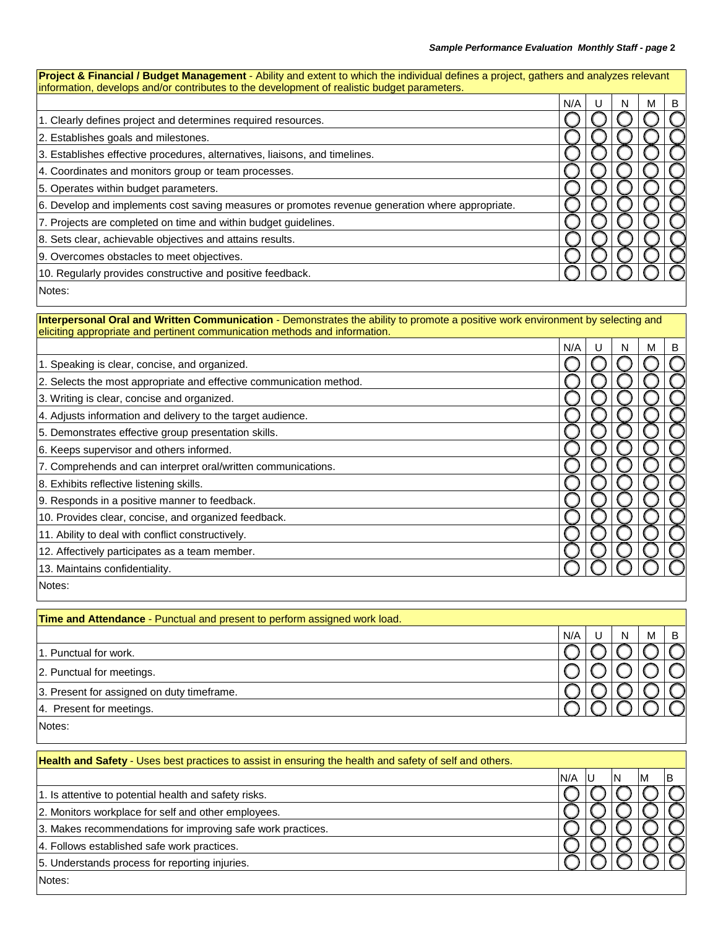| Project & Financial / Budget Management - Ability and extent to which the individual defines a project, gathers and analyzes relevant<br>information, develops and/or contributes to the development of realistic budget parameters. |     |    |   |   |   |
|--------------------------------------------------------------------------------------------------------------------------------------------------------------------------------------------------------------------------------------|-----|----|---|---|---|
|                                                                                                                                                                                                                                      | N/A |    | N | М | B |
| 1. Clearly defines project and determines required resources.                                                                                                                                                                        |     |    |   |   |   |
| 2. Establishes goals and milestones.                                                                                                                                                                                                 |     |    |   |   |   |
| 3. Establishes effective procedures, alternatives, liaisons, and timelines.                                                                                                                                                          |     |    |   |   |   |
| 4. Coordinates and monitors group or team processes.                                                                                                                                                                                 |     |    |   |   |   |
| 5. Operates within budget parameters.                                                                                                                                                                                                |     |    |   |   |   |
| 6. Develop and implements cost saving measures or promotes revenue generation where appropriate.                                                                                                                                     |     |    |   |   |   |
| 7. Projects are completed on time and within budget guidelines.                                                                                                                                                                      |     |    |   |   |   |
| 8. Sets clear, achievable objectives and attains results.                                                                                                                                                                            |     |    |   |   |   |
| 9. Overcomes obstacles to meet objectives.                                                                                                                                                                                           |     |    |   |   |   |
| 10. Regularly provides constructive and positive feedback.                                                                                                                                                                           |     |    |   |   |   |
| Notes:                                                                                                                                                                                                                               |     |    |   |   |   |
| Interpersonal Oral and Written Communication - Demonstrates the ability to promote a positive work environment by selecting and<br>eliciting appropriate and pertinent communication methods and information.                        |     |    |   |   |   |
|                                                                                                                                                                                                                                      | N/A | U  | N | M | B |
| 1. Speaking is clear, concise, and organized.                                                                                                                                                                                        |     |    |   |   |   |
| 2. Selects the most appropriate and effective communication method.                                                                                                                                                                  |     |    |   |   |   |
| 3. Writing is clear, concise and organized.                                                                                                                                                                                          |     |    |   |   |   |
| 4. Adjusts information and delivery to the target audience.                                                                                                                                                                          |     |    |   |   |   |
| 5. Demonstrates effective group presentation skills.                                                                                                                                                                                 |     |    |   |   |   |
| 6. Keeps supervisor and others informed.                                                                                                                                                                                             |     |    |   |   |   |
| 7. Comprehends and can interpret oral/written communications.                                                                                                                                                                        |     |    |   |   |   |
| 8. Exhibits reflective listening skills.                                                                                                                                                                                             |     |    |   |   |   |
| 9. Responds in a positive manner to feedback.                                                                                                                                                                                        |     |    |   |   |   |
| 10. Provides clear, concise, and organized feedback.                                                                                                                                                                                 |     |    |   |   |   |
| 11. Ability to deal with conflict constructively.                                                                                                                                                                                    |     |    |   |   |   |
| 12. Affectively participates as a team member.                                                                                                                                                                                       |     |    |   |   |   |
| 13. Maintains confidentiality.                                                                                                                                                                                                       |     |    |   |   |   |
| Notes:                                                                                                                                                                                                                               |     |    |   |   |   |
| Time and Attendance - Punctual and present to perform assigned work load.                                                                                                                                                            |     |    |   |   |   |
|                                                                                                                                                                                                                                      | N/A | U  | N | M | B |
| 1. Punctual for work.                                                                                                                                                                                                                |     |    |   |   |   |
| 2. Punctual for meetings.                                                                                                                                                                                                            |     |    |   |   |   |
| 3. Present for assigned on duty timeframe.                                                                                                                                                                                           |     |    |   |   |   |
| 4. Present for meetings.                                                                                                                                                                                                             |     |    |   |   |   |
| Notes:                                                                                                                                                                                                                               |     |    |   |   |   |
| Health and Safety - Uses best practices to assist in ensuring the health and safety of self and others.                                                                                                                              |     |    |   |   |   |
|                                                                                                                                                                                                                                      | N/A | ΙU | N | M | B |
| 1. Is attentive to potential health and safety risks.                                                                                                                                                                                |     |    |   |   |   |
| 2. Monitors workplace for self and other employees.                                                                                                                                                                                  |     |    |   |   |   |
| 3. Makes recommendations for improving safe work practices.                                                                                                                                                                          |     |    |   |   |   |
| 4. Follows established safe work practices.                                                                                                                                                                                          |     |    |   |   |   |
| 5. Understands process for reporting injuries.                                                                                                                                                                                       |     |    |   |   |   |
| Notes:                                                                                                                                                                                                                               |     |    |   |   |   |
|                                                                                                                                                                                                                                      |     |    |   |   |   |